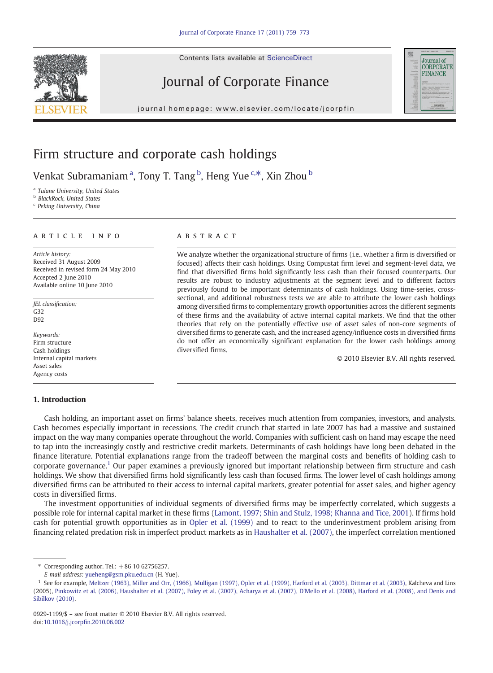Contents lists available at ScienceDirect

## Journal of Corporate Finance

j o u r n a g e  $\mathbf{r}$  ev i e r. c om  $\mathbf{r}$  i n  $\mathbf{r}$  i n  $\mathbf{r}$ 



### Firm structure and corporate cash holdings

Venkat Subramaniamª, Tony T. Tang <sup>b</sup>, Heng Yue <sup>c,\*</sup>, Xin Zhou <sup>b</sup>

<sup>a</sup> Tulane University, United States

**b** BlackRock, United States

<sup>c</sup> Peking University, China

### article info abstract

Article history: Received 31 August 2009 Received in revised form 24 May 2010 Accepted 2 June 2010 Available online 10 June 2010

JEL classification: G32 D92

Keywords: Firm structure Cash holdings Internal capital markets Asset sales Agency costs

#### 1. Introduction

We analyze whether the organizational structure of firms (i.e., whether a firm is diversified or focused) affects their cash holdings. Using Compustat firm level and segment-level data, we find that diversified firms hold significantly less cash than their focused counterparts. Our results are robust to industry adjustments at the segment level and to different factors previously found to be important determinants of cash holdings. Using time-series, crosssectional, and additional robustness tests we are able to attribute the lower cash holdings among diversified firms to complementary growth opportunities across the different segments of these firms and the availability of active internal capital markets. We find that the other theories that rely on the potentially effective use of asset sales of non-core segments of diversified firms to generate cash, and the increased agency/influence costs in diversified firms do not offer an economically significant explanation for the lower cash holdings among diversified firms.

© 2010 Elsevier B.V. All rights reserved.

Cash holding, an important asset on firms' balance sheets, receives much attention from companies, investors, and analysts. Cash becomes especially important in recessions. The credit crunch that started in late 2007 has had a massive and sustained impact on the way many companies operate throughout the world. Companies with sufficient cash on hand may escape the need to tap into the increasingly costly and restrictive credit markets. Determinants of cash holdings have long been debated in the finance literature. Potential explanations range from the tradeoff between the marginal costs and benefits of holding cash to corporate governance.1 Our paper examines a previously ignored but important relationship between firm structure and cash holdings. We show that diversified firms hold significantly less cash than focused firms. The lower level of cash holdings among diversified firms can be attributed to their access to internal capital markets, greater potential for asset sales, and higher agency costs in diversified firms.

The investment opportunities of individual segments of diversified firms may be imperfectly correlated, which suggests a possible role for internal capital market in these firms ([Lamont, 1997; Shin and Stulz, 1998; Khanna and Tice, 2001\)](#page--1-0). If firms hold cash for potential growth opportunities as in [Opler et al. \(1999\)](#page--1-0) and to react to the underinvestment problem arising from financing related predation risk in imperfect product markets as in [Haushalter et al. \(2007\),](#page--1-0) the imperfect correlation mentioned

 $*$  Corresponding author. Tel.:  $+86$  10 62756257.

E-mail address: [yueheng@gsm.pku.edu.cn](mailto:yueheng@gsm.pku.edu.cn) (H. Yue).

<sup>&</sup>lt;sup>1</sup> See for example, [Meltzer \(1963\), Miller and Orr, \(1966\), Mulligan \(1997\), Opler et al. \(1999\), Harford et al. \(2003\), Dittmar et al. \(2003\),](#page--1-0) Kalcheva and Lins (2005), [Pinkowitz et al. \(2006\), Haushalter et al. \(2007\), Foley et al. \(2007\), Acharya et al. \(2007\), D'Mello et al. \(2008\), Harford et al. \(2008\), and Denis and](#page--1-0) [Sibilkov \(2010\)](#page--1-0).

<sup>0929-1199/\$</sup> – see front matter © 2010 Elsevier B.V. All rights reserved. doi[:10.1016/j.jcorp](http://dx.doi.org/10.1016/j.jcorpfin.2010.06.002)fin.2010.06.002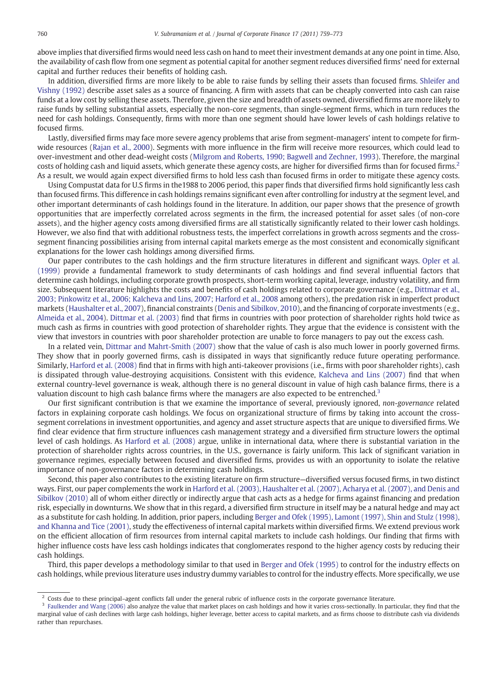above implies that diversified firms would need less cash on hand to meet their investment demands at any one point in time. Also, the availability of cash flow from one segment as potential capital for another segment reduces diversified firms' need for external capital and further reduces their benefits of holding cash.

In addition, diversified firms are more likely to be able to raise funds by selling their assets than focused firms. [Shleifer and](#page--1-0) [Vishny \(1992\)](#page--1-0) describe asset sales as a source of financing. A firm with assets that can be cheaply converted into cash can raise funds at a low cost by selling these assets. Therefore, given the size and breadth of assets owned, diversified firms are more likely to raise funds by selling substantial assets, especially the non-core segments, than single-segment firms, which in turn reduces the need for cash holdings. Consequently, firms with more than one segment should have lower levels of cash holdings relative to focused firms.

Lastly, diversified firms may face more severe agency problems that arise from segment-managers' intent to compete for firmwide resources [\(Rajan et al., 2000](#page--1-0)). Segments with more influence in the firm will receive more resources, which could lead to over-investment and other dead-weight costs [\(Milgrom and Roberts, 1990; Bagwell and Zechner, 1993\)](#page--1-0). Therefore, the marginal costs of holding cash and liquid assets, which generate these agency costs, are higher for diversified firms than for focused firms.<sup>2</sup> As a result, we would again expect diversified firms to hold less cash than focused firms in order to mitigate these agency costs.

Using Compustat data for U.S firms in the1988 to 2006 period, this paper finds that diversified firms hold significantly less cash than focused firms. This difference in cash holdings remains significant even after controlling for industry at the segment level, and other important determinants of cash holdings found in the literature. In addition, our paper shows that the presence of growth opportunities that are imperfectly correlated across segments in the firm, the increased potential for asset sales (of non-core assets), and the higher agency costs among diversified firms are all statistically significantly related to their lower cash holdings. However, we also find that with additional robustness tests, the imperfect correlations in growth across segments and the crosssegment financing possibilities arising from internal capital markets emerge as the most consistent and economically significant explanations for the lower cash holdings among diversified firms.

Our paper contributes to the cash holdings and the firm structure literatures in different and significant ways. [Opler et al.](#page--1-0) [\(1999\)](#page--1-0) provide a fundamental framework to study determinants of cash holdings and find several influential factors that determine cash holdings, including corporate growth prospects, short-term working capital, leverage, industry volatility, and firm size. Subsequent literature highlights the costs and benefits of cash holdings related to corporate governance (e.g., [Dittmar et al.,](#page--1-0) [2003; Pinkowitz et al., 2006; Kalcheva and Lins, 2007; Harford et al., 2008](#page--1-0) among others), the predation risk in imperfect product markets ([Haushalter et al., 2007\)](#page--1-0), financial constraints [\(Denis and Sibilkov, 2010\)](#page--1-0), and the financing of corporate investments (e.g., [Almeida et al., 2004\)](#page--1-0). [Dittmar et al. \(2003\)](#page--1-0) find that firms in countries with poor protection of shareholder rights hold twice as much cash as firms in countries with good protection of shareholder rights. They argue that the evidence is consistent with the view that investors in countries with poor shareholder protection are unable to force managers to pay out the excess cash.

In a related vein, [Dittmar and Mahrt-Smith \(2007\)](#page--1-0) show that the value of cash is also much lower in poorly governed firms. They show that in poorly governed firms, cash is dissipated in ways that significantly reduce future operating performance. Similarly, [Harford et al. \(2008\)](#page--1-0) find that in firms with high anti-takeover provisions (i.e., firms with poor shareholder rights), cash is dissipated through value-destroying acquisitions. Consistent with this evidence, [Kalcheva and Lins \(2007\)](#page--1-0) find that when external country-level governance is weak, although there is no general discount in value of high cash balance firms, there is a valuation discount to high cash balance firms where the managers are also expected to be entrenched.<sup>3</sup>

Our first significant contribution is that we examine the importance of several, previously ignored, non-governance related factors in explaining corporate cash holdings. We focus on organizational structure of firms by taking into account the crosssegment correlations in investment opportunities, and agency and asset structure aspects that are unique to diversified firms. We find clear evidence that firm structure influences cash management strategy and a diversified firm structure lowers the optimal level of cash holdings. As [Harford et al. \(2008\)](#page--1-0) argue, unlike in international data, where there is substantial variation in the protection of shareholder rights across countries, in the U.S., governance is fairly uniform. This lack of significant variation in governance regimes, especially between focused and diversified firms, provides us with an opportunity to isolate the relative importance of non-governance factors in determining cash holdings.

Second, this paper also contributes to the existing literature on firm structure—diversified versus focused firms, in two distinct ways. First, our paper complements the work in [Harford et al. \(2003\), Haushalter et al. \(2007\), Acharya et al. \(2007\), and Denis and](#page--1-0) [Sibilkov \(2010\)](#page--1-0) all of whom either directly or indirectly argue that cash acts as a hedge for firms against financing and predation risk, especially in downturns. We show that in this regard, a diversified firm structure in itself may be a natural hedge and may act as a substitute for cash holding. In addition, prior papers, including [Berger and Ofek \(1995\), Lamont \(1997\), Shin and Stulz \(1998\),](#page--1-0) [and Khanna and Tice \(2001\),](#page--1-0) study the effectiveness of internal capital markets within diversified firms. We extend previous work on the efficient allocation of firm resources from internal capital markets to include cash holdings. Our finding that firms with higher influence costs have less cash holdings indicates that conglomerates respond to the higher agency costs by reducing their cash holdings.

Third, this paper develops a methodology similar to that used in [Berger and Ofek \(1995\)](#page--1-0) to control for the industry effects on cash holdings, while previous literature uses industry dummy variables to control for the industry effects. More specifically, we use

<sup>&</sup>lt;sup>2</sup> Costs due to these principal–agent conflicts fall under the general rubric of influence costs in the corporate governance literature.

 $3$  [Faulkender and Wang \(2006\)](#page--1-0) also analyze the value that market places on cash holdings and how it varies cross-sectionally. In particular, they find that the marginal value of cash declines with large cash holdings, higher leverage, better access to capital markets, and as firms choose to distribute cash via dividends rather than repurchases.